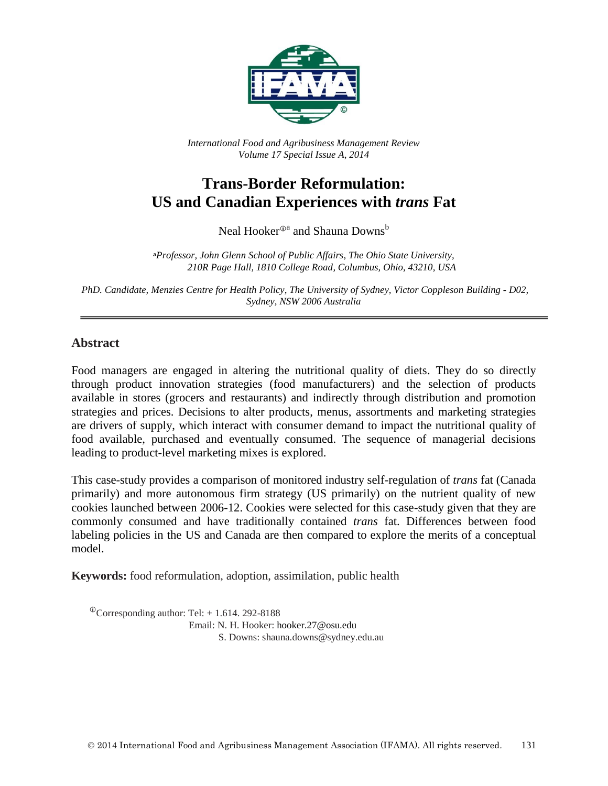

*International Food and Agribusiness Management Review Volume 17 Special Issue A, 2014*

# **Trans-Border Reformulation: US and Canadian Experiences with** *trans* **Fat**

Neal Hooker<sup>⊕a</sup> and Shauna Downs<sup>b</sup>

**<sup>a</sup>***Professor, John Glenn School of Public Affairs, The Ohio State University, 210R Page Hall, 1810 College Road, Columbus, Ohio, 43210, USA*

*PhD. Candidate, Menzies Centre for Health Policy, The University of Sydney, Victor Coppleson Building - D02, Sydney, NSW 2006 Australia*

#### **Abstract**

Food managers are engaged in altering the nutritional quality of diets. They do so directly through product innovation strategies (food manufacturers) and the selection of products available in stores (grocers and restaurants) and indirectly through distribution and promotion strategies and prices. Decisions to alter products, menus, assortments and marketing strategies are drivers of supply, which interact with consumer demand to impact the nutritional quality of food available, purchased and eventually consumed. The sequence of managerial decisions leading to product-level marketing mixes is explored.

This case-study provides a comparison of monitored industry self-regulation of *trans* fat (Canada primarily) and more autonomous firm strategy (US primarily) on the nutrient quality of new cookies launched between 2006-12. Cookies were selected for this case-study given that they are commonly consumed and have traditionally contained *trans* fat. Differences between food labeling policies in the US and Canada are then compared to explore the merits of a conceptual model.

**Keywords:** food reformulation, adoption, assimilation, public health

 $^{\circ}$ Corresponding author: Tel: + 1.614. 292-8188 Email: N. H. Hooker: hooker.27@osu.edu S. Downs: shauna.downs@sydney.edu.au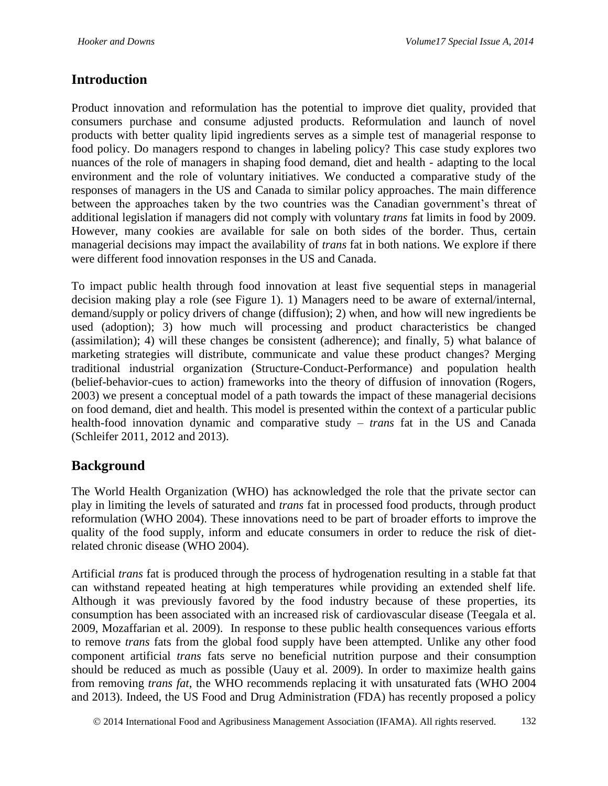### **Introduction**

Product innovation and reformulation has the potential to improve diet quality, provided that consumers purchase and consume adjusted products. Reformulation and launch of novel products with better quality lipid ingredients serves as a simple test of managerial response to food policy. Do managers respond to changes in labeling policy? This case study explores two nuances of the role of managers in shaping food demand, diet and health - adapting to the local environment and the role of voluntary initiatives. We conducted a comparative study of the responses of managers in the US and Canada to similar policy approaches. The main difference between the approaches taken by the two countries was the Canadian government's threat of additional legislation if managers did not comply with voluntary *trans* fat limits in food by 2009. However, many cookies are available for sale on both sides of the border. Thus, certain managerial decisions may impact the availability of *trans* fat in both nations. We explore if there were different food innovation responses in the US and Canada.

To impact public health through food innovation at least five sequential steps in managerial decision making play a role (see Figure 1). 1) Managers need to be aware of external/internal, demand/supply or policy drivers of change (diffusion); 2) when, and how will new ingredients be used (adoption); 3) how much will processing and product characteristics be changed (assimilation); 4) will these changes be consistent (adherence); and finally, 5) what balance of marketing strategies will distribute, communicate and value these product changes? Merging traditional industrial organization (Structure-Conduct-Performance) and population health (belief-behavior-cues to action) frameworks into the theory of diffusion of innovation (Rogers, 2003) we present a conceptual model of a path towards the impact of these managerial decisions on food demand, diet and health. This model is presented within the context of a particular public health-food innovation dynamic and comparative study – *trans* fat in the US and Canada (Schleifer 2011, 2012 and 2013).

### **Background**

The World Health Organization (WHO) has acknowledged the role that the private sector can play in limiting the levels of saturated and *trans* fat in processed food products, through product reformulation (WHO 2004). These innovations need to be part of broader efforts to improve the quality of the food supply, inform and educate consumers in order to reduce the risk of dietrelated chronic disease (WHO 2004).

Artificial *trans* fat is produced through the process of hydrogenation resulting in a stable fat that can withstand repeated heating at high temperatures while providing an extended shelf life. Although it was previously favored by the food industry because of these properties, its consumption has been associated with an increased risk of cardiovascular disease (Teegala et al. 2009, Mozaffarian et al. 2009). In response to these public health consequences various efforts to remove *trans* fats from the global food supply have been attempted. Unlike any other food component artificial *trans* fats serve no beneficial nutrition purpose and their consumption should be reduced as much as possible (Uauy et al. 2009). In order to maximize health gains from removing *trans fat*, the WHO recommends replacing it with unsaturated fats (WHO 2004 and 2013). Indeed, the US Food and Drug Administration (FDA) has recently proposed a policy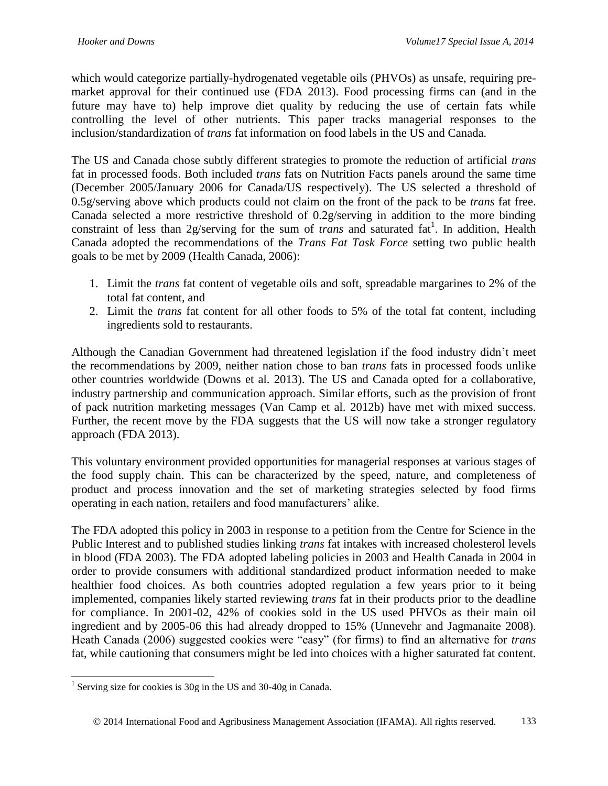which would categorize partially-hydrogenated vegetable oils (PHVOs) as unsafe, requiring premarket approval for their continued use (FDA 2013). Food processing firms can (and in the future may have to) help improve diet quality by reducing the use of certain fats while controlling the level of other nutrients. This paper tracks managerial responses to the inclusion/standardization of *trans* fat information on food labels in the US and Canada.

The US and Canada chose subtly different strategies to promote the reduction of artificial *trans* fat in processed foods. Both included *trans* fats on Nutrition Facts panels around the same time (December 2005/January 2006 for Canada/US respectively). The US selected a threshold of 0.5g/serving above which products could not claim on the front of the pack to be *trans* fat free. Canada selected a more restrictive threshold of 0.2g/serving in addition to the more binding constraint of less than 2g/serving for the sum of *trans* and saturated fat<sup>1</sup>. In addition, Health Canada adopted the recommendations of the *Trans Fat Task Force* setting two public health goals to be met by 2009 (Health Canada, 2006):

- 1. Limit the *trans* fat content of vegetable oils and soft, spreadable margarines to 2% of the total fat content, and
- 2. Limit the *trans* fat content for all other foods to 5% of the total fat content, including ingredients sold to restaurants.

Although the Canadian Government had threatened legislation if the food industry didn't meet the recommendations by 2009, neither nation chose to ban *trans* fats in processed foods unlike other countries worldwide (Downs et al. 2013). The US and Canada opted for a collaborative, industry partnership and communication approach. Similar efforts, such as the provision of front of pack nutrition marketing messages (Van Camp et al. 2012b) have met with mixed success. Further, the recent move by the FDA suggests that the US will now take a stronger regulatory approach (FDA 2013).

This voluntary environment provided opportunities for managerial responses at various stages of the food supply chain. This can be characterized by the speed, nature, and completeness of product and process innovation and the set of marketing strategies selected by food firms operating in each nation, retailers and food manufacturers' alike.

The FDA adopted this policy in 2003 in response to a petition from the Centre for Science in the Public Interest and to published studies linking *trans* fat intakes with increased cholesterol levels in blood (FDA 2003). The FDA adopted labeling policies in 2003 and Health Canada in 2004 in order to provide consumers with additional standardized product information needed to make healthier food choices. As both countries adopted regulation a few years prior to it being implemented, companies likely started reviewing *trans* fat in their products prior to the deadline for compliance. In 2001-02, 42% of cookies sold in the US used PHVOs as their main oil ingredient and by 2005-06 this had already dropped to 15% (Unnevehr and Jagmanaite 2008). Heath Canada (2006) suggested cookies were "easy" (for firms) to find an alternative for *trans* fat, while cautioning that consumers might be led into choices with a higher saturated fat content.

 1 Serving size for cookies is 30g in the US and 30-40g in Canada.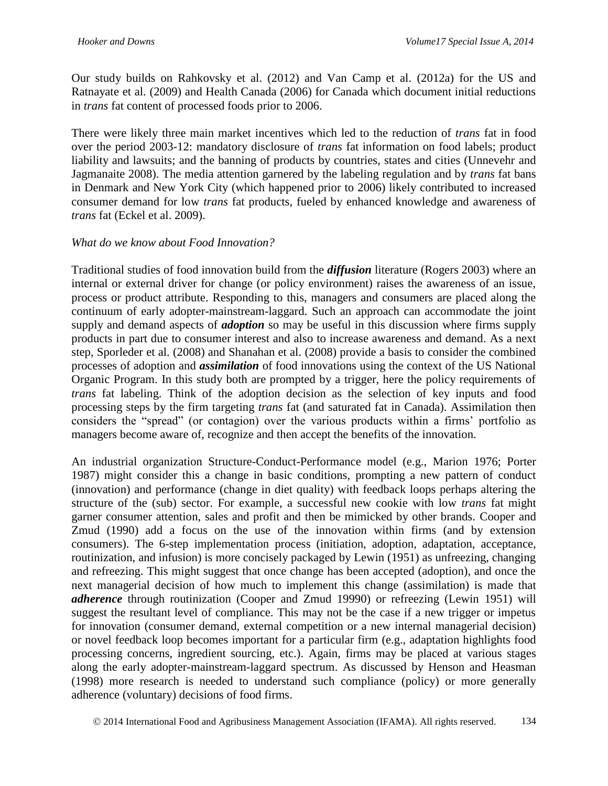Our study builds on Rahkovsky et al. (2012) and Van Camp et al. (2012a) for the US and Ratnayate et al. (2009) and Health Canada (2006) for Canada which document initial reductions in *trans* fat content of processed foods prior to 2006.

There were likely three main market incentives which led to the reduction of *trans* fat in food over the period 2003-12: mandatory disclosure of *trans* fat information on food labels; product liability and lawsuits; and the banning of products by countries, states and cities (Unnevehr and Jagmanaite 2008). The media attention garnered by the labeling regulation and by *trans* fat bans in Denmark and New York City (which happened prior to 2006) likely contributed to increased consumer demand for low *trans* fat products, fueled by enhanced knowledge and awareness of *trans* fat (Eckel et al. 2009).

#### *What do we know about Food Innovation?*

Traditional studies of food innovation build from the *diffusion* literature (Rogers 2003) where an internal or external driver for change (or policy environment) raises the awareness of an issue, process or product attribute. Responding to this, managers and consumers are placed along the continuum of early adopter-mainstream-laggard. Such an approach can accommodate the joint supply and demand aspects of *adoption* so may be useful in this discussion where firms supply products in part due to consumer interest and also to increase awareness and demand. As a next step, Sporleder et al. (2008) and Shanahan et al. (2008) provide a basis to consider the combined processes of adoption and *assimilation* of food innovations using the context of the US National Organic Program. In this study both are prompted by a trigger, here the policy requirements of *trans* fat labeling. Think of the adoption decision as the selection of key inputs and food processing steps by the firm targeting *trans* fat (and saturated fat in Canada). Assimilation then considers the "spread" (or contagion) over the various products within a firms' portfolio as managers become aware of, recognize and then accept the benefits of the innovation.

An industrial organization Structure-Conduct-Performance model (e.g., Marion 1976; Porter 1987) might consider this a change in basic conditions, prompting a new pattern of conduct (innovation) and performance (change in diet quality) with feedback loops perhaps altering the structure of the (sub) sector. For example, a successful new cookie with low *trans* fat might garner consumer attention, sales and profit and then be mimicked by other brands. Cooper and Zmud (1990) add a focus on the use of the innovation within firms (and by extension consumers). The 6-step implementation process (initiation, adoption, adaptation, acceptance, routinization, and infusion) is more concisely packaged by Lewin (1951) as unfreezing, changing and refreezing. This might suggest that once change has been accepted (adoption), and once the next managerial decision of how much to implement this change (assimilation) is made that *adherence* through routinization (Cooper and Zmud 19990) or refreezing (Lewin 1951) will suggest the resultant level of compliance. This may not be the case if a new trigger or impetus for innovation (consumer demand, external competition or a new internal managerial decision) or novel feedback loop becomes important for a particular firm (e.g., adaptation highlights food processing concerns, ingredient sourcing, etc.). Again, firms may be placed at various stages along the early adopter-mainstream-laggard spectrum. As discussed by Henson and Heasman (1998) more research is needed to understand such compliance (policy) or more generally adherence (voluntary) decisions of food firms.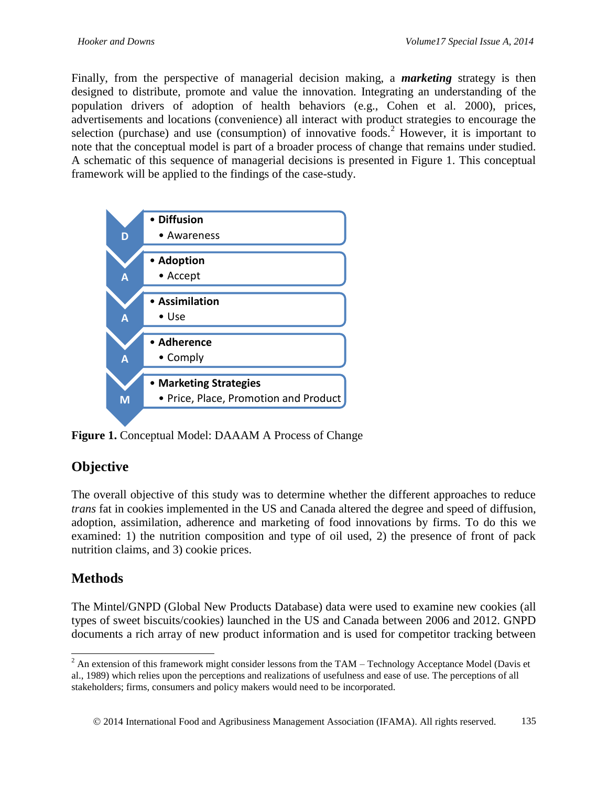Finally, from the perspective of managerial decision making, a *marketing* strategy is then designed to distribute, promote and value the innovation. Integrating an understanding of the population drivers of adoption of health behaviors (e.g., Cohen et al. 2000), prices, advertisements and locations (convenience) all interact with product strategies to encourage the selection (purchase) and use (consumption) of innovative foods.<sup>2</sup> However, it is important to note that the conceptual model is part of a broader process of change that remains under studied. A schematic of this sequence of managerial decisions is presented in Figure 1. This conceptual framework will be applied to the findings of the case-study.



**Figure 1.** Conceptual Model: DAAAM A Process of Change

## **Objective**

The overall objective of this study was to determine whether the different approaches to reduce *trans* fat in cookies implemented in the US and Canada altered the degree and speed of diffusion, adoption, assimilation, adherence and marketing of food innovations by firms. To do this we examined: 1) the nutrition composition and type of oil used, 2) the presence of front of pack nutrition claims, and 3) cookie prices.

### **Methods**

 $\overline{a}$ 

The Mintel/GNPD (Global New Products Database) data were used to examine new cookies (all types of sweet biscuits/cookies) launched in the US and Canada between 2006 and 2012. GNPD documents a rich array of new product information and is used for competitor tracking between

 $2^{2}$  An extension of this framework might consider lessons from the TAM – Technology Acceptance Model (Davis et al., 1989) which relies upon the perceptions and realizations of usefulness and ease of use. The perceptions of all stakeholders; firms, consumers and policy makers would need to be incorporated.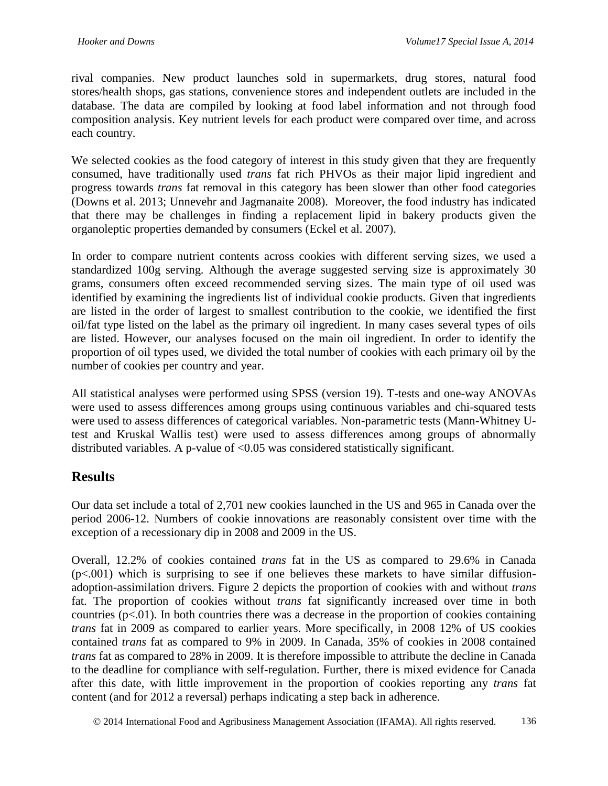rival companies. New product launches sold in supermarkets, drug stores, natural food stores/health shops, gas stations, convenience stores and independent outlets are included in the database. The data are compiled by looking at food label information and not through food composition analysis. Key nutrient levels for each product were compared over time, and across each country.

We selected cookies as the food category of interest in this study given that they are frequently consumed, have traditionally used *trans* fat rich PHVOs as their major lipid ingredient and progress towards *trans* fat removal in this category has been slower than other food categories (Downs et al. 2013; Unnevehr and Jagmanaite 2008). Moreover, the food industry has indicated that there may be challenges in finding a replacement lipid in bakery products given the organoleptic properties demanded by consumers (Eckel et al. 2007).

In order to compare nutrient contents across cookies with different serving sizes, we used a standardized 100g serving. Although the average suggested serving size is approximately 30 grams, consumers often exceed recommended serving sizes. The main type of oil used was identified by examining the ingredients list of individual cookie products. Given that ingredients are listed in the order of largest to smallest contribution to the cookie, we identified the first oil/fat type listed on the label as the primary oil ingredient. In many cases several types of oils are listed. However, our analyses focused on the main oil ingredient. In order to identify the proportion of oil types used, we divided the total number of cookies with each primary oil by the number of cookies per country and year.

All statistical analyses were performed using SPSS (version 19). T-tests and one-way ANOVAs were used to assess differences among groups using continuous variables and chi-squared tests were used to assess differences of categorical variables. Non-parametric tests (Mann-Whitney Utest and Kruskal Wallis test) were used to assess differences among groups of abnormally distributed variables. A p-value of <0.05 was considered statistically significant.

### **Results**

Our data set include a total of 2,701 new cookies launched in the US and 965 in Canada over the period 2006-12. Numbers of cookie innovations are reasonably consistent over time with the exception of a recessionary dip in 2008 and 2009 in the US.

Overall, 12.2% of cookies contained *trans* fat in the US as compared to 29.6% in Canada  $(p<.001)$  which is surprising to see if one believes these markets to have similar diffusionadoption-assimilation drivers. Figure 2 depicts the proportion of cookies with and without *trans* fat. The proportion of cookies without *trans* fat significantly increased over time in both countries  $(p<0.01)$ . In both countries there was a decrease in the proportion of cookies containing *trans* fat in 2009 as compared to earlier years. More specifically, in 2008 12% of US cookies contained *trans* fat as compared to 9% in 2009. In Canada, 35% of cookies in 2008 contained *trans* fat as compared to 28% in 2009. It is therefore impossible to attribute the decline in Canada to the deadline for compliance with self-regulation. Further, there is mixed evidence for Canada after this date, with little improvement in the proportion of cookies reporting any *trans* fat content (and for 2012 a reversal) perhaps indicating a step back in adherence.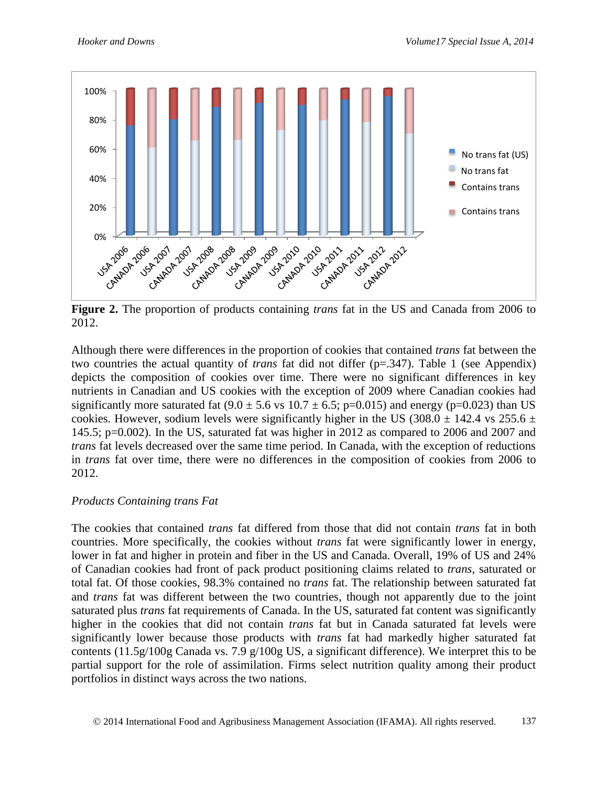

**Figure 2.** The proportion of products containing *trans* fat in the US and Canada from 2006 to 2012.

Although there were differences in the proportion of cookies that contained *trans* fat between the two countries the actual quantity of *trans* fat did not differ (p=.347). Table 1 (see Appendix) depicts the composition of cookies over time. There were no significant differences in key nutrients in Canadian and US cookies with the exception of 2009 where Canadian cookies had significantly more saturated fat  $(9.0 \pm 5.6 \text{ vs } 10.7 \pm 6.5; \text{ p} = 0.015)$  and energy ( $\text{p} = 0.023$ ) than US cookies. However, sodium levels were significantly higher in the US (308.0  $\pm$  142.4 vs 255.6  $\pm$ 145.5; p=0.002). In the US, saturated fat was higher in 2012 as compared to 2006 and 2007 and *trans* fat levels decreased over the same time period. In Canada, with the exception of reductions in *trans* fat over time, there were no differences in the composition of cookies from 2006 to 2012.

#### *Products Containing trans Fat*

The cookies that contained *trans* fat differed from those that did not contain *trans* fat in both countries. More specifically, the cookies without *trans* fat were significantly lower in energy, lower in fat and higher in protein and fiber in the US and Canada. Overall, 19% of US and 24% of Canadian cookies had front of pack product positioning claims related to *trans*, saturated or total fat. Of those cookies, 98.3% contained no *trans* fat. The relationship between saturated fat and *trans* fat was different between the two countries, though not apparently due to the joint saturated plus *trans* fat requirements of Canada. In the US, saturated fat content was significantly higher in the cookies that did not contain *trans* fat but in Canada saturated fat levels were significantly lower because those products with *trans* fat had markedly higher saturated fat contents (11.5g/100g Canada vs. 7.9 g/100g US, a significant difference). We interpret this to be partial support for the role of assimilation. Firms select nutrition quality among their product portfolios in distinct ways across the two nations.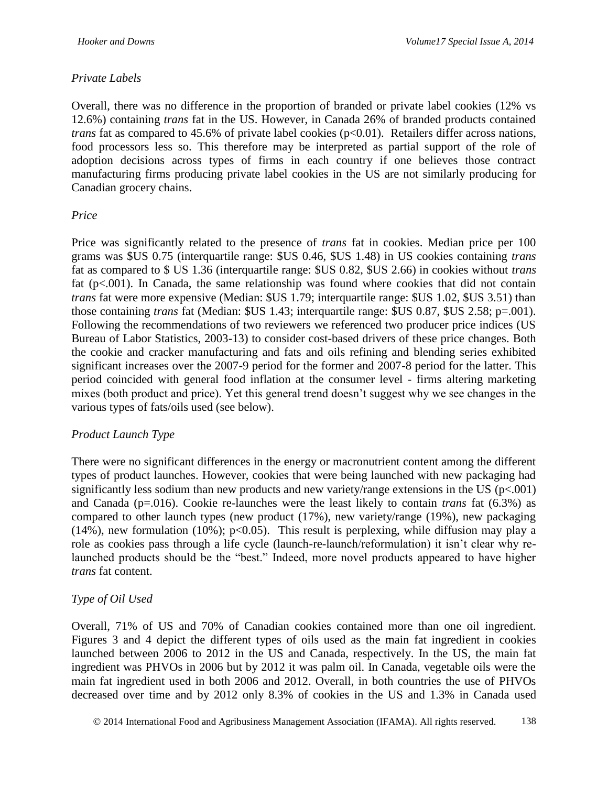#### *Private Labels*

Overall, there was no difference in the proportion of branded or private label cookies (12% vs 12.6%) containing *trans* fat in the US. However, in Canada 26% of branded products contained *trans* fat as compared to 45.6% of private label cookies (p<0.01). Retailers differ across nations, food processors less so. This therefore may be interpreted as partial support of the role of adoption decisions across types of firms in each country if one believes those contract manufacturing firms producing private label cookies in the US are not similarly producing for Canadian grocery chains.

#### *Price*

Price was significantly related to the presence of *trans* fat in cookies. Median price per 100 grams was \$US 0.75 (interquartile range: \$US 0.46, \$US 1.48) in US cookies containing *trans* fat as compared to \$ US 1.36 (interquartile range: \$US 0.82, \$US 2.66) in cookies without *trans* fat  $(p<.001)$ . In Canada, the same relationship was found where cookies that did not contain *trans* fat were more expensive (Median: \$US 1.79; interquartile range: \$US 1.02, \$US 3.51) than those containing *trans* fat (Median: \$US 1.43; interquartile range: \$US 0.87, \$US 2.58; p=.001). Following the recommendations of two reviewers we referenced two producer price indices (US Bureau of Labor Statistics, 2003-13) to consider cost-based drivers of these price changes. Both the cookie and cracker manufacturing and fats and oils refining and blending series exhibited significant increases over the 2007-9 period for the former and 2007-8 period for the latter. This period coincided with general food inflation at the consumer level - firms altering marketing mixes (both product and price). Yet this general trend doesn't suggest why we see changes in the various types of fats/oils used (see below).

#### *Product Launch Type*

There were no significant differences in the energy or macronutrient content among the different types of product launches. However, cookies that were being launched with new packaging had significantly less sodium than new products and new variety/range extensions in the US ( $p<.001$ ) and Canada (p=.016). Cookie re-launches were the least likely to contain *trans* fat (6.3%) as compared to other launch types (new product (17%), new variety/range (19%), new packaging (14%), new formulation (10%);  $p<0.05$ ). This result is perplexing, while diffusion may play a role as cookies pass through a life cycle (launch-re-launch/reformulation) it isn't clear why relaunched products should be the "best." Indeed, more novel products appeared to have higher *trans* fat content.

#### *Type of Oil Used*

Overall, 71% of US and 70% of Canadian cookies contained more than one oil ingredient. Figures 3 and 4 depict the different types of oils used as the main fat ingredient in cookies launched between 2006 to 2012 in the US and Canada, respectively. In the US, the main fat ingredient was PHVOs in 2006 but by 2012 it was palm oil. In Canada, vegetable oils were the main fat ingredient used in both 2006 and 2012. Overall, in both countries the use of PHVOs decreased over time and by 2012 only 8.3% of cookies in the US and 1.3% in Canada used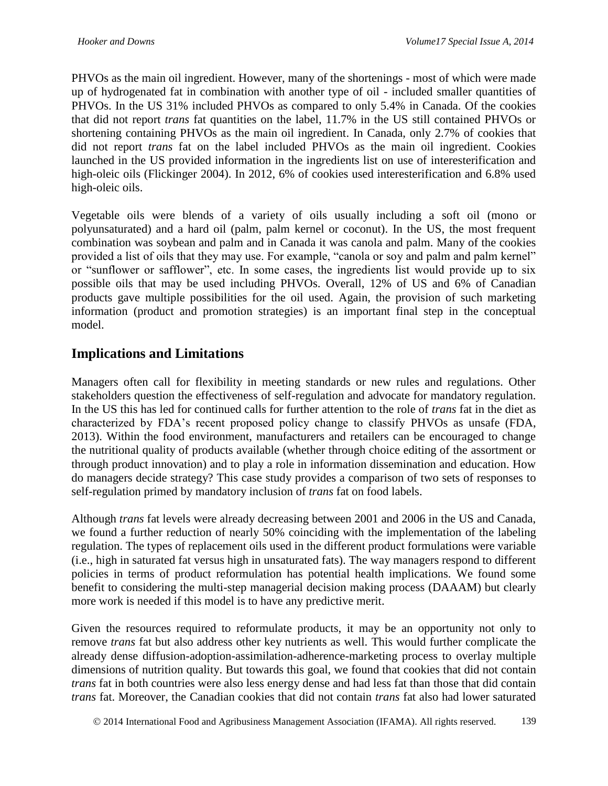PHVOs as the main oil ingredient. However, many of the shortenings - most of which were made up of hydrogenated fat in combination with another type of oil - included smaller quantities of PHVOs. In the US 31% included PHVOs as compared to only 5.4% in Canada. Of the cookies that did not report *trans* fat quantities on the label, 11.7% in the US still contained PHVOs or shortening containing PHVOs as the main oil ingredient. In Canada, only 2.7% of cookies that did not report *trans* fat on the label included PHVOs as the main oil ingredient. Cookies launched in the US provided information in the ingredients list on use of interesterification and high-oleic oils (Flickinger 2004). In 2012, 6% of cookies used interesterification and 6.8% used high-oleic oils.

Vegetable oils were blends of a variety of oils usually including a soft oil (mono or polyunsaturated) and a hard oil (palm, palm kernel or coconut). In the US, the most frequent combination was soybean and palm and in Canada it was canola and palm. Many of the cookies provided a list of oils that they may use. For example, "canola or soy and palm and palm kernel" or "sunflower or safflower", etc. In some cases, the ingredients list would provide up to six possible oils that may be used including PHVOs. Overall, 12% of US and 6% of Canadian products gave multiple possibilities for the oil used. Again, the provision of such marketing information (product and promotion strategies) is an important final step in the conceptual model.

### **Implications and Limitations**

Managers often call for flexibility in meeting standards or new rules and regulations. Other stakeholders question the effectiveness of self-regulation and advocate for mandatory regulation. In the US this has led for continued calls for further attention to the role of *trans* fat in the diet as characterized by FDA's recent proposed policy change to classify PHVOs as unsafe (FDA, 2013). Within the food environment, manufacturers and retailers can be encouraged to change the nutritional quality of products available (whether through choice editing of the assortment or through product innovation) and to play a role in information dissemination and education. How do managers decide strategy? This case study provides a comparison of two sets of responses to self-regulation primed by mandatory inclusion of *trans* fat on food labels.

Although *trans* fat levels were already decreasing between 2001 and 2006 in the US and Canada, we found a further reduction of nearly 50% coinciding with the implementation of the labeling regulation. The types of replacement oils used in the different product formulations were variable (i.e., high in saturated fat versus high in unsaturated fats). The way managers respond to different policies in terms of product reformulation has potential health implications. We found some benefit to considering the multi-step managerial decision making process (DAAAM) but clearly more work is needed if this model is to have any predictive merit.

Given the resources required to reformulate products, it may be an opportunity not only to remove *trans* fat but also address other key nutrients as well. This would further complicate the already dense diffusion-adoption-assimilation-adherence-marketing process to overlay multiple dimensions of nutrition quality. But towards this goal, we found that cookies that did not contain *trans* fat in both countries were also less energy dense and had less fat than those that did contain *trans* fat. Moreover, the Canadian cookies that did not contain *trans* fat also had lower saturated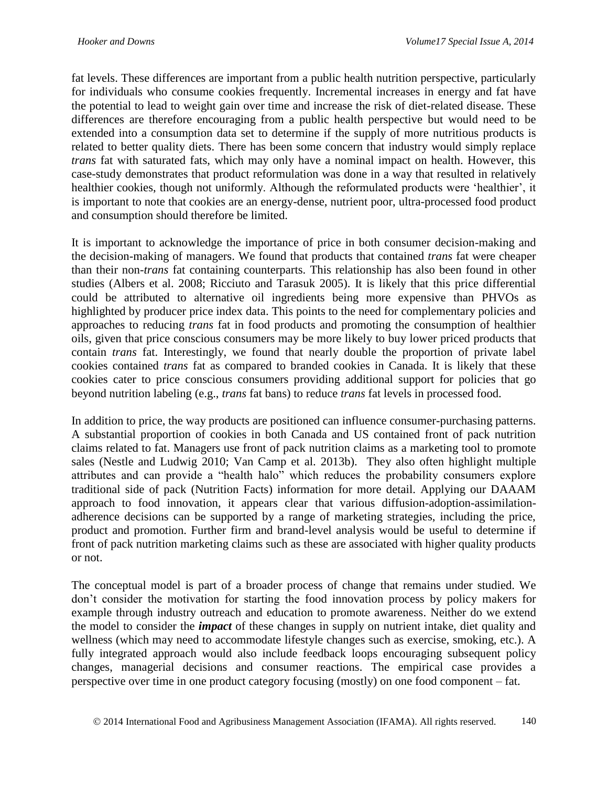fat levels. These differences are important from a public health nutrition perspective, particularly for individuals who consume cookies frequently. Incremental increases in energy and fat have the potential to lead to weight gain over time and increase the risk of diet-related disease. These differences are therefore encouraging from a public health perspective but would need to be extended into a consumption data set to determine if the supply of more nutritious products is related to better quality diets. There has been some concern that industry would simply replace *trans* fat with saturated fats, which may only have a nominal impact on health. However, this case-study demonstrates that product reformulation was done in a way that resulted in relatively healthier cookies, though not uniformly. Although the reformulated products were 'healthier', it is important to note that cookies are an energy-dense, nutrient poor, ultra-processed food product and consumption should therefore be limited.

It is important to acknowledge the importance of price in both consumer decision-making and the decision-making of managers. We found that products that contained *trans* fat were cheaper than their non-*trans* fat containing counterparts. This relationship has also been found in other studies (Albers et al. 2008; Ricciuto and Tarasuk 2005). It is likely that this price differential could be attributed to alternative oil ingredients being more expensive than PHVOs as highlighted by producer price index data. This points to the need for complementary policies and approaches to reducing *trans* fat in food products and promoting the consumption of healthier oils, given that price conscious consumers may be more likely to buy lower priced products that contain *trans* fat. Interestingly, we found that nearly double the proportion of private label cookies contained *trans* fat as compared to branded cookies in Canada. It is likely that these cookies cater to price conscious consumers providing additional support for policies that go beyond nutrition labeling (e.g., *trans* fat bans) to reduce *trans* fat levels in processed food.

In addition to price, the way products are positioned can influence consumer-purchasing patterns. A substantial proportion of cookies in both Canada and US contained front of pack nutrition claims related to fat. Managers use front of pack nutrition claims as a marketing tool to promote sales (Nestle and Ludwig 2010; Van Camp et al. 2013b). They also often highlight multiple attributes and can provide a "health halo" which reduces the probability consumers explore traditional side of pack (Nutrition Facts) information for more detail. Applying our DAAAM approach to food innovation, it appears clear that various diffusion-adoption-assimilationadherence decisions can be supported by a range of marketing strategies, including the price, product and promotion. Further firm and brand-level analysis would be useful to determine if front of pack nutrition marketing claims such as these are associated with higher quality products or not.

The conceptual model is part of a broader process of change that remains under studied. We don't consider the motivation for starting the food innovation process by policy makers for example through industry outreach and education to promote awareness. Neither do we extend the model to consider the *impact* of these changes in supply on nutrient intake, diet quality and wellness (which may need to accommodate lifestyle changes such as exercise, smoking, etc.). A fully integrated approach would also include feedback loops encouraging subsequent policy changes, managerial decisions and consumer reactions. The empirical case provides a perspective over time in one product category focusing (mostly) on one food component – fat.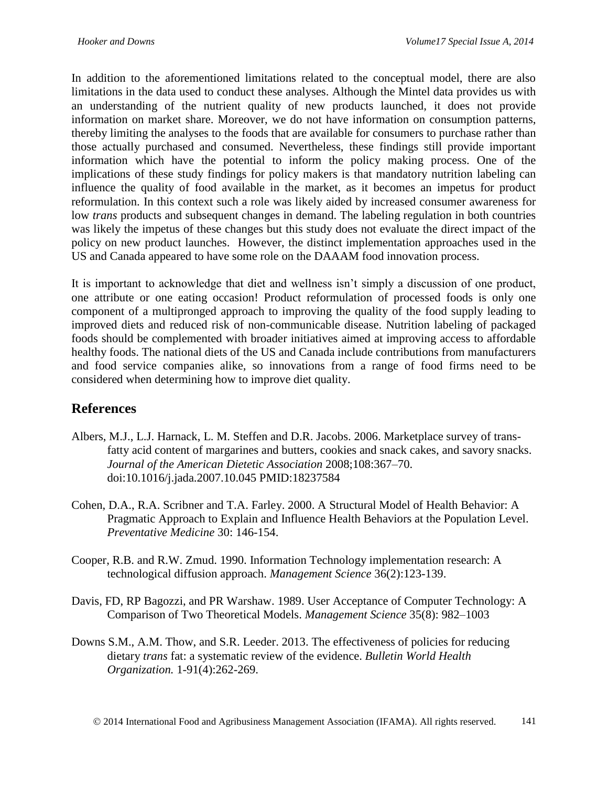In addition to the aforementioned limitations related to the conceptual model, there are also limitations in the data used to conduct these analyses. Although the Mintel data provides us with an understanding of the nutrient quality of new products launched, it does not provide information on market share. Moreover, we do not have information on consumption patterns, thereby limiting the analyses to the foods that are available for consumers to purchase rather than those actually purchased and consumed. Nevertheless, these findings still provide important information which have the potential to inform the policy making process. One of the implications of these study findings for policy makers is that mandatory nutrition labeling can influence the quality of food available in the market, as it becomes an impetus for product reformulation. In this context such a role was likely aided by increased consumer awareness for low *trans* products and subsequent changes in demand. The labeling regulation in both countries was likely the impetus of these changes but this study does not evaluate the direct impact of the policy on new product launches. However, the distinct implementation approaches used in the US and Canada appeared to have some role on the DAAAM food innovation process.

It is important to acknowledge that diet and wellness isn't simply a discussion of one product, one attribute or one eating occasion! Product reformulation of processed foods is only one component of a multipronged approach to improving the quality of the food supply leading to improved diets and reduced risk of non-communicable disease. Nutrition labeling of packaged foods should be complemented with broader initiatives aimed at improving access to affordable healthy foods. The national diets of the US and Canada include contributions from manufacturers and food service companies alike, so innovations from a range of food firms need to be considered when determining how to improve diet quality.

### **References**

- Albers, M.J., L.J. Harnack, L. M. Steffen and D.R. Jacobs. 2006. Marketplace survey of transfatty acid content of margarines and butters, cookies and snack cakes, and savory snacks. *Journal of the American Dietetic Association* 2008;108:367–70. doi:10.1016/j.jada.2007.10.045 PMID:18237584
- Cohen, D.A., R.A. Scribner and T.A. Farley. 2000. A Structural Model of Health Behavior: A Pragmatic Approach to Explain and Influence Health Behaviors at the Population Level. *Preventative Medicine* 30: 146-154.
- Cooper, R.B. and R.W. Zmud. 1990. Information Technology implementation research: A technological diffusion approach. *Management Science* 36(2):123-139.
- Davis, FD, RP Bagozzi, and PR Warshaw. 1989. User Acceptance of Computer Technology: A Comparison of Two Theoretical Models. *Management Science* 35(8): 982–1003
- Downs S.M., A.M. Thow, and S.R. Leeder. 2013. The effectiveness of policies for reducing dietary *trans* fat: a systematic review of the evidence. *Bulletin World Health Organization.* 1-91(4):262-269.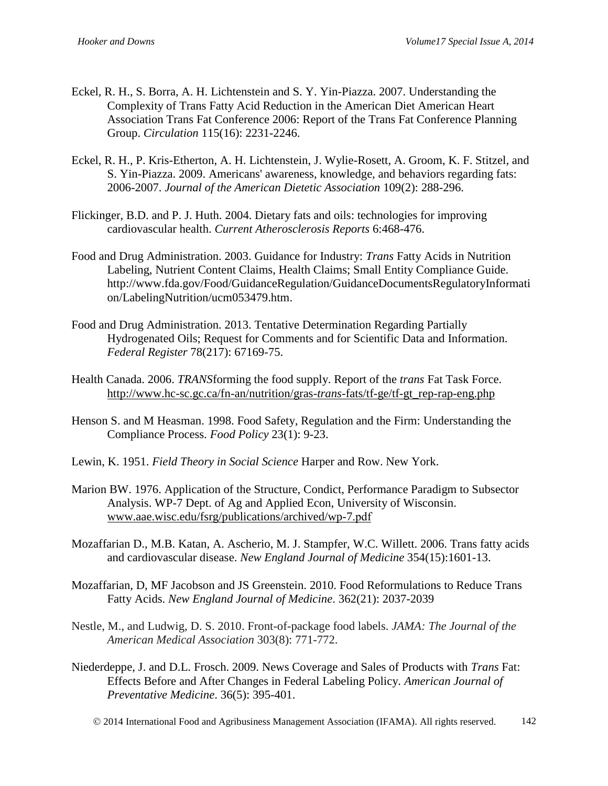- Eckel, R. H., S. Borra, A. H. Lichtenstein and S. Y. Yin-Piazza. 2007. Understanding the Complexity of Trans Fatty Acid Reduction in the American Diet American Heart Association Trans Fat Conference 2006: Report of the Trans Fat Conference Planning Group. *Circulation* 115(16): 2231-2246.
- Eckel, R. H., P. Kris-Etherton, A. H. Lichtenstein, J. Wylie-Rosett, A. Groom, K. F. Stitzel, and S. Yin-Piazza. 2009. Americans' awareness, knowledge, and behaviors regarding fats: 2006-2007. *Journal of the American Dietetic Association* 109(2): 288-296.
- Flickinger, B.D. and P. J. Huth. 2004. Dietary fats and oils: technologies for improving cardiovascular health. *Current Atherosclerosis Reports* 6:468-476.
- Food and Drug Administration. 2003. Guidance for Industry: *Trans* Fatty Acids in Nutrition Labeling, Nutrient Content Claims, Health Claims; Small Entity Compliance Guide. http://www.fda.gov/Food/GuidanceRegulation/GuidanceDocumentsRegulatoryInformati on/LabelingNutrition/ucm053479.htm.
- Food and Drug Administration. 2013. Tentative Determination Regarding Partially Hydrogenated Oils; Request for Comments and for Scientific Data and Information. *Federal Register* 78(217): 67169-75.
- Health Canada. 2006. *TRANS*forming the food supply. Report of the *trans* Fat Task Force. [http://www.hc-sc.gc.ca/fn-an/nutrition/gras-](http://www.hc-sc.gc.ca/fn-an/nutrition/gras-trans-fats/tf-ge/tf-gt_rep-rap-eng.php)*trans*-fats/tf-ge/tf-gt\_rep-rap-eng.php
- Henson S. and M Heasman. 1998. Food Safety, Regulation and the Firm: Understanding the Compliance Process. *Food Policy* 23(1): 9-23.
- Lewin, K. 1951. *Field Theory in Social Science* Harper and Row. New York.
- Marion BW. 1976. Application of the Structure, Condict, Performance Paradigm to Subsector Analysis. WP-7 Dept. of Ag and Applied Econ, University of Wisconsin. [www.aae.wisc.edu/fsrg/publications/archived/wp-7.pdf](http://www.aae.wisc.edu/fsrg/publications/archived/wp-7.pdf‎)
- Mozaffarian D., M.B. Katan, A. Ascherio, M. J. Stampfer, W.C. Willett. 2006. Trans fatty acids and cardiovascular disease. *New England Journal of Medicine* 354(15):1601-13.
- Mozaffarian, D, MF Jacobson and JS Greenstein. 2010. Food Reformulations to Reduce Trans Fatty Acids. *New England Journal of Medicine*. 362(21): 2037-2039
- Nestle, M., and Ludwig, D. S. 2010. Front-of-package food labels. *JAMA: The Journal of the American Medical Association* 303(8): 771-772.
- Niederdeppe, J. and D.L. Frosch. 2009. News Coverage and Sales of Products with *Trans* Fat: Effects Before and After Changes in Federal Labeling Policy. *American Journal of Preventative Medicine*. 36(5): 395-401.
	- 2014 International Food and Agribusiness Management Association (IFAMA). All rights reserved. 142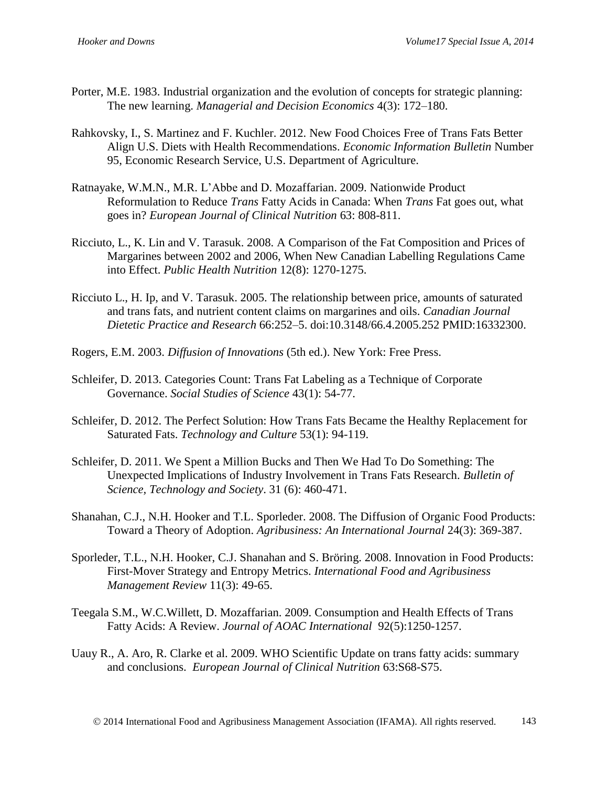- Porter, M.E. 1983. Industrial organization and the evolution of concepts for strategic planning: The new learning. *Managerial and Decision Economics* 4(3): 172–180.
- Rahkovsky, I., S. Martinez and F. Kuchler. 2012. New Food Choices Free of Trans Fats Better Align U.S. Diets with Health Recommendations. *Economic Information Bulletin* Number 95, Economic Research Service, U.S. Department of Agriculture.
- Ratnayake, W.M.N., M.R. L'Abbe and D. Mozaffarian. 2009. Nationwide Product Reformulation to Reduce *Trans* Fatty Acids in Canada: When *Trans* Fat goes out, what goes in? *European Journal of Clinical Nutrition* 63: 808-811.
- Ricciuto, L., K. Lin and V. Tarasuk. 2008. A Comparison of the Fat Composition and Prices of Margarines between 2002 and 2006, When New Canadian Labelling Regulations Came into Effect. *Public Health Nutrition* 12(8): 1270-1275.
- Ricciuto L., H. Ip, and V. Tarasuk. 2005. The relationship between price, amounts of saturated and trans fats, and nutrient content claims on margarines and oils. *Canadian Journal Dietetic Practice and Research* 66:252–5. doi:10.3148/66.4.2005.252 PMID:16332300.
- Rogers, E.M. 2003. *Diffusion of Innovations* (5th ed.). New York: Free Press.
- Schleifer, D. 2013. Categories Count: Trans Fat Labeling as a Technique of Corporate Governance. *Social Studies of Science* 43(1): 54-77.
- Schleifer, D. 2012. The Perfect Solution: How Trans Fats Became the Healthy Replacement for Saturated Fats. *Technology and Culture* 53(1): 94-119.
- Schleifer, D. 2011. We Spent a Million Bucks and Then We Had To Do Something: The Unexpected Implications of Industry Involvement in Trans Fats Research. *Bulletin of Science, Technology and Society*. 31 (6): 460-471.
- Shanahan, C.J., N.H. Hooker and T.L. Sporleder. 2008. The Diffusion of Organic Food Products: Toward a Theory of Adoption. *Agribusiness: An International Journal* 24(3): 369-387.
- Sporleder, T.L., N.H. Hooker, C.J. Shanahan and S. Bröring. 2008. Innovation in Food Products: First-Mover Strategy and Entropy Metrics. *International Food and Agribusiness Management Review* 11(3): 49-65.
- Teegala S.M., W.C.Willett, D. Mozaffarian. 2009. Consumption and Health Effects of Trans Fatty Acids: A Review. *Journal of AOAC International* 92(5):1250-1257.
- Uauy R., A. Aro, R. Clarke et al. 2009. WHO Scientific Update on trans fatty acids: summary and conclusions. *European Journal of Clinical Nutrition* 63:S68-S75.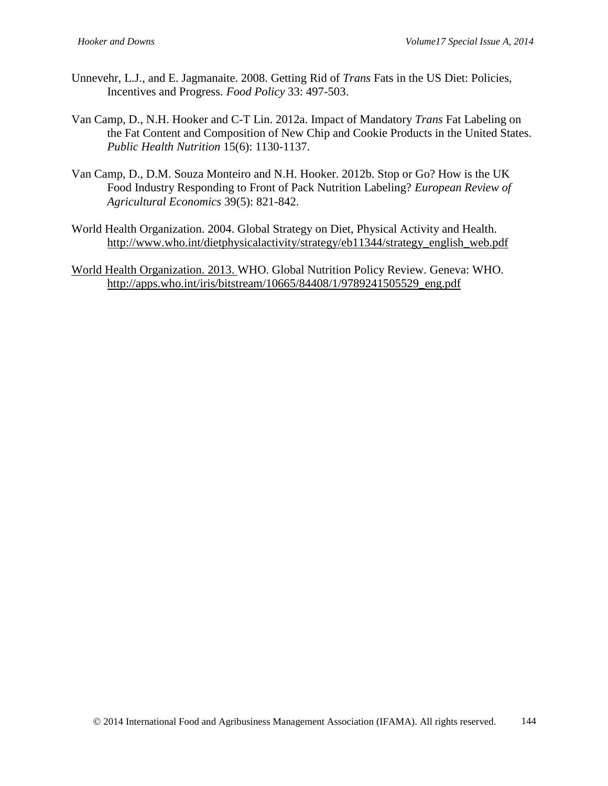- Unnevehr, L.J., and E. Jagmanaite. 2008. Getting Rid of *Trans* Fats in the US Diet: Policies, Incentives and Progress. *Food Policy* 33: 497-503.
- Van Camp, D., N.H. Hooker and C-T Lin. 2012a. Impact of Mandatory *Trans* Fat Labeling on the Fat Content and Composition of New Chip and Cookie Products in the United States. *Public Health Nutrition* 15(6): 1130-1137.
- Van Camp, D., D.M. Souza Monteiro and N.H. Hooker. 2012b. Stop or Go? How is the UK Food Industry Responding to Front of Pack Nutrition Labeling? *European Review of Agricultural Economics* 39(5): 821-842.
- World Health Organization. 2004. Global Strategy on Diet, Physical Activity and Health. [http://www.who.int/dietphysicalactivity/strategy/eb11344/strategy\\_english\\_web.pdf](http://www.who.int/dietphysicalactivity/strategy/eb11344/strategy_english_web.pdf)
- World Health Organization. 2013. WHO. Global Nutrition Policy Review. Geneva: WHO. [http://apps.who.int/iris/bitstream/10665/84408/1/9789241505529\\_eng.pdf](http://apps.who.int/iris/bitstream/10665/84408/1/9789241505529_eng.pdf)